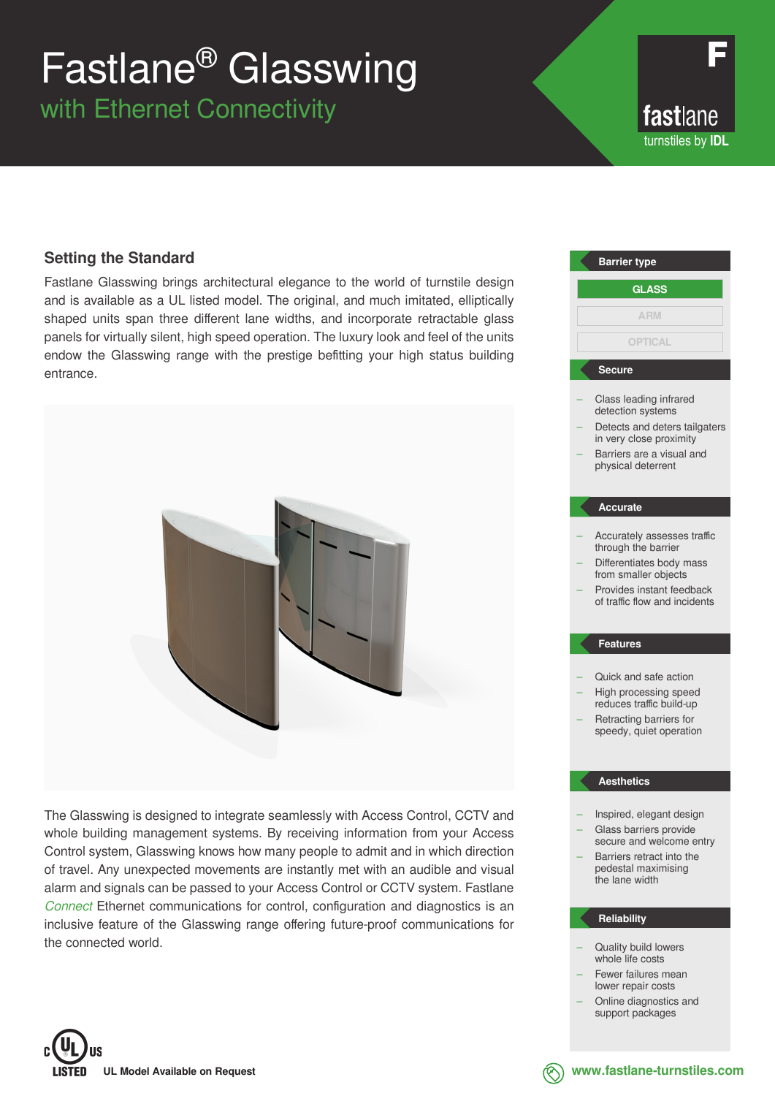# Fastlane® Glasswing

with Ethernet Connectivity

fastlane turnstiles by **IDL**

# **Setting the Standard**

Fastlane Glasswing brings architectural elegance to the world of turnstile design and is available as a UL listed model. The original, and much imitated, elliptically shaped units span three different lane widths, and incorporate retractable glass panels for virtually silent, high speed operation. The luxury look and feel of the units endow the Glasswing range with the prestige befitting your high status building entrance.



The Glasswing is designed to integrate seamlessly with Access Control, CCTV and whole building management systems. By receiving information from your Access Control system, Glasswing knows how many people to admit and in which direction of travel. Any unexpected movements are instantly met with an audible and visual alarm and signals can be passed to your Access Control or CCTV system. Fastlane *Connect* Ethernet communications for control, configuration and diagnostics is an inclusive feature of the Glasswing range offering future-proof communications for the connected world.



# **Reliability**

- Quality build lowers whole life costs
- Fewer failures mean lower repair costs
- Online diagnostics and support packages



**www.fastlane-turnstiles.com**